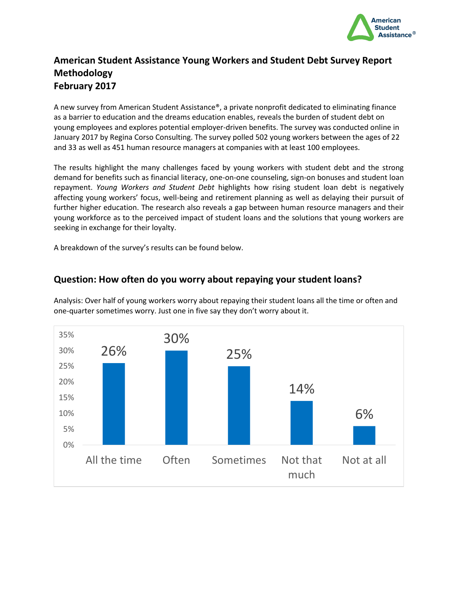

#### **American Student Assistance Young Workers and Student Debt Survey Report Methodology February 2017**

A new survey from American Student Assistance®, a private nonprofit dedicated to eliminating finance as a barrier to education and the dreams education enables, reveals the burden of student debt on young employees and explores potential employer-driven benefits. The survey was conducted online in January 2017 by Regina Corso Consulting. The survey polled 502 young workers between the ages of 22 and 33 as well as 451 human resource managers at companies with at least 100 employees.

The results highlight the many challenges faced by young workers with student debt and the strong demand for benefits such as financial literacy, one-on-one counseling, sign-on bonuses and student loan repayment. *Young Workers and Student Debt* highlights how rising student loan debt is negatively affecting young workers' focus, well-being and retirement planning as well as delaying their pursuit of further higher education. The research also reveals a gap between human resource managers and their young workforce as to the perceived impact of student loans and the solutions that young workers are seeking in exchange for their loyalty.

A breakdown of the survey's results can be found below.

#### **Question: How often do you worry about repaying your student loans?**

Analysis: Over half of young workers worry about repaying their student loans all the time or often and one-quarter sometimes worry. Just one in five say they don't worry about it.

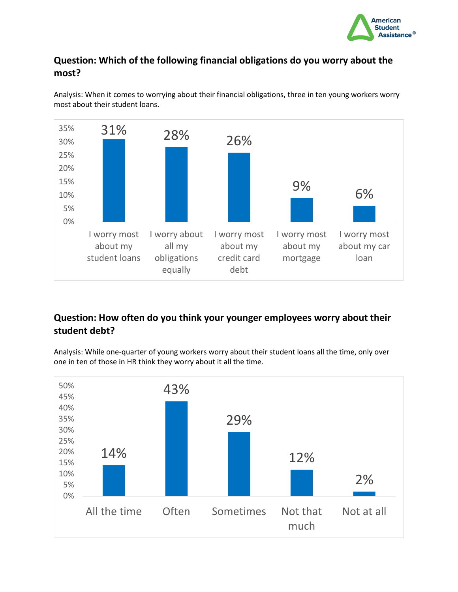

# **Question: Which of the following financial obligations do you worry about the most?**



Analysis: When it comes to worrying about their financial obligations, three in ten young workers worry most about their student loans.

# **Question: How often do you think your younger employees worry about their student debt?**

Analysis: While one-quarter of young workers worry about their student loans all the time, only over one in ten of those in HR think they worry about it all the time.

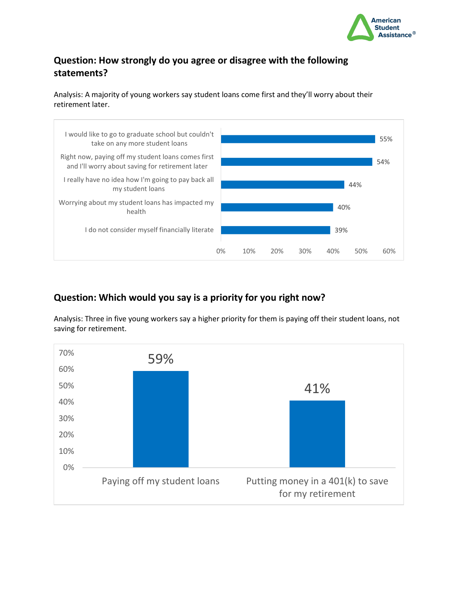

# **Question: How strongly do you agree or disagree with the following statements?**

Analysis: A majority of young workers say student loans come first and they'll worry about their retirement later.



## **Question: Which would you say is a priority for you right now?**

Analysis: Three in five young workers say a higher priority for them is paying off their student loans, not saving for retirement.

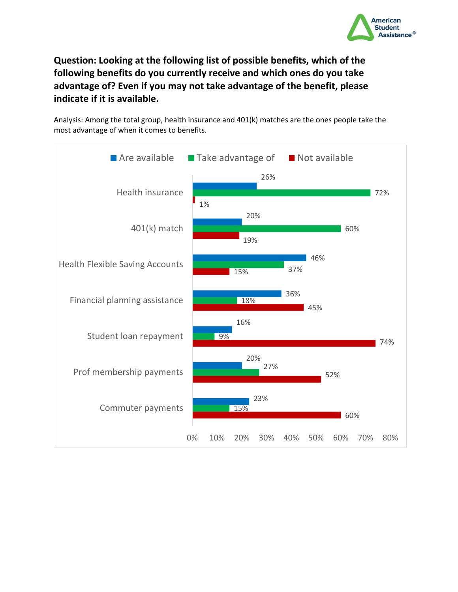

**Question: Looking at the following list of possible benefits, which of the following benefits do you currently receive and which ones do you take advantage of? Even if you may not take advantage of the benefit, please indicate if it is available.** 

Analysis: Among the total group, health insurance and 401(k) matches are the ones people take the most advantage of when it comes to benefits.

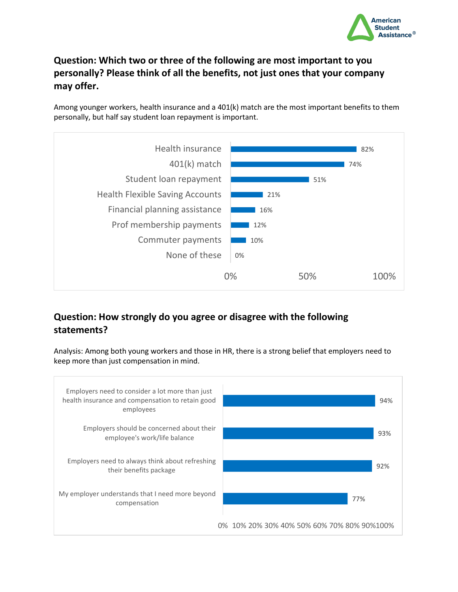

# **Question: Which two or three of the following are most important to you personally? Please think of all the benefits, not just ones that your company may offer.**

Among younger workers, health insurance and a 401(k) match are the most important benefits to them personally, but half say student loan repayment is important.



## **Question: How strongly do you agree or disagree with the following statements?**

Analysis: Among both young workers and those in HR, there is a strong belief that employers need to keep more than just compensation in mind.

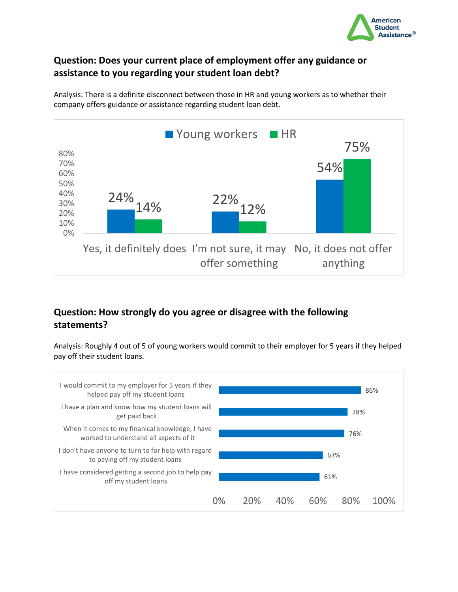

## **Question: Does your current place of employment offer any guidance or assistance to you regarding your student loan debt?**

Analysis: There is a definite disconnect between those in HR and young workers as to whether their company offers guidance or assistance regarding student loan debt.



## **Question: How strongly do you agree or disagree with the following statements?**

Analysis: Roughly 4 out of 5 of young workers would commit to their employer for 5 years if they helped pay off their student loans.